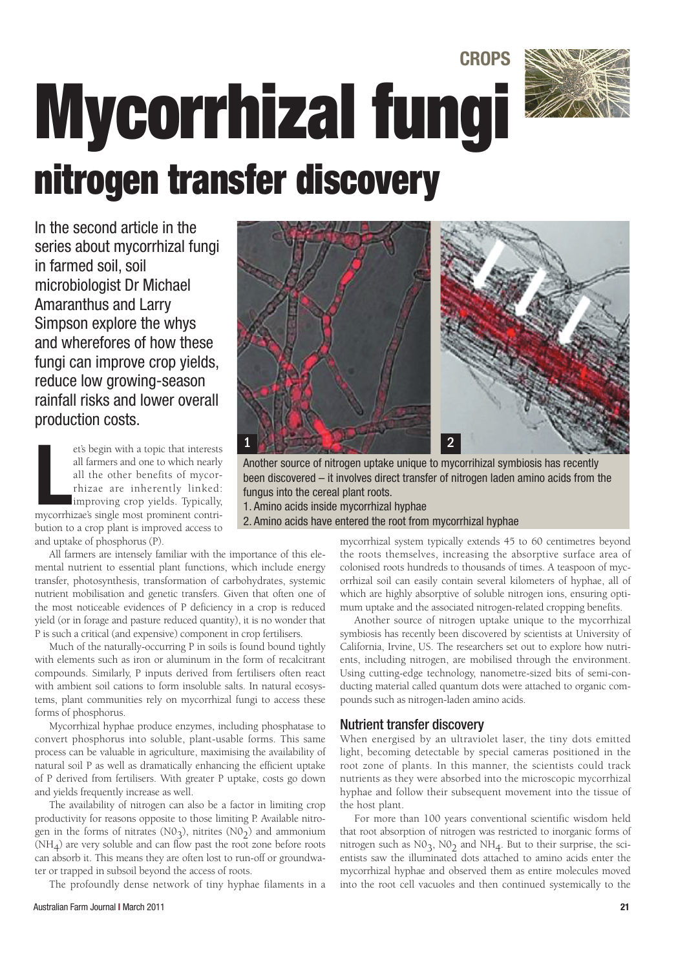# **CROPS Mycorrhizal fungi nitrogen transfer discovery**



In the second article in the series about mycorrhizal fungi in farmed soil, soil microbiologist Dr Michael Amaranthus and Larry Simpson explore the whys and wherefores of how these fungi can improve crop yields, reduce low growing-season rainfall risks and lower overall production costs.

et's begin with a topic that interests<br>all farmers and one to which nearly<br>all the other benefits of mycor-<br>thizae are inherently linked:<br>improving crop yields. Typically,<br>mycorrhizae's single most prominent contriet's begin with a topic that interests all farmers and one to which nearly all the other benefits of mycorrhizae are inherently linked: improving crop yields. Typically, bution to a crop plant is improved access to and uptake of phosphorus (P).

All farmers are intensely familiar with the importance of this elemental nutrient to essential plant functions, which include energy transfer, photosynthesis, transformation of carbohydrates, systemic nutrient mobilisation and genetic transfers. Given that often one of the most noticeable evidences of P deficiency in a crop is reduced yield (or in forage and pasture reduced quantity), it is no wonder that P is such a critical (and expensive) component in crop fertilisers.

Much of the naturally-occurring P in soils is found bound tightly with elements such as iron or aluminum in the form of recalcitrant compounds. Similarly, P inputs derived from fertilisers often react with ambient soil cations to form insoluble salts. In natural ecosystems, plant communities rely on mycorrhizal fungi to access these forms of phosphorus.

Mycorrhizal hyphae produce enzymes, including phosphatase to convert phosphorus into soluble, plant-usable forms. This same process can be valuable in agriculture, maximising the availability of natural soil P as well as dramatically enhancing the efficient uptake of P derived from fertilisers. With greater P uptake, costs go down and yields frequently increase as well.

The availability of nitrogen can also be a factor in limiting crop productivity for reasons opposite to those limiting P. Available nitrogen in the forms of nitrates  $(N0<sub>3</sub>)$ , nitrites  $(N0<sub>2</sub>)$  and ammonium (NH4) are very soluble and can flow past the root zone before roots can absorb it. This means they are often lost to run-off or groundwater or trapped in subsoil beyond the access of roots.

The profoundly dense network of tiny hyphae filaments in a



Another source of nitrogen uptake unique to mycorrihizal symbiosis has recently been discovered – it involves direct transfer of nitrogen laden amino acids from the fungus into the cereal plant roots. 1. Amino acids inside mycorrhizal hyphae

2. Amino acids have entered the root from mycorrhizal hyphae

mycorrhizal system typically extends 45 to 60 centimetres beyond the roots themselves, increasing the absorptive surface area of colonised roots hundreds to thousands of times. A teaspoon of mycorrhizal soil can easily contain several kilometers of hyphae, all of which are highly absorptive of soluble nitrogen ions, ensuring optimum uptake and the associated nitrogen-related cropping benefits.

Another source of nitrogen uptake unique to the mycorrhizal symbiosis has recently been discovered by scientists at University of California, Irvine, US. The researchers set out to explore how nutrients, including nitrogen, are mobilised through the environment. Using cutting-edge technology, nanometre-sized bits of semi-conducting material called quantum dots were attached to organic compounds such as nitrogen-laden amino acids.

#### Nutrient transfer discovery

When energised by an ultraviolet laser, the tiny dots emitted light, becoming detectable by special cameras positioned in the root zone of plants. In this manner, the scientists could track nutrients as they were absorbed into the microscopic mycorrhizal hyphae and follow their subsequent movement into the tissue of the host plant.

For more than 100 years conventional scientific wisdom held that root absorption of nitrogen was restricted to inorganic forms of nitrogen such as  $NO<sub>3</sub>$ ,  $NO<sub>2</sub>$  and  $NH<sub>4</sub>$ . But to their surprise, the scientists saw the illuminated dots attached to amino acids enter the mycorrhizal hyphae and observed them as entire molecules moved into the root cell vacuoles and then continued systemically to the